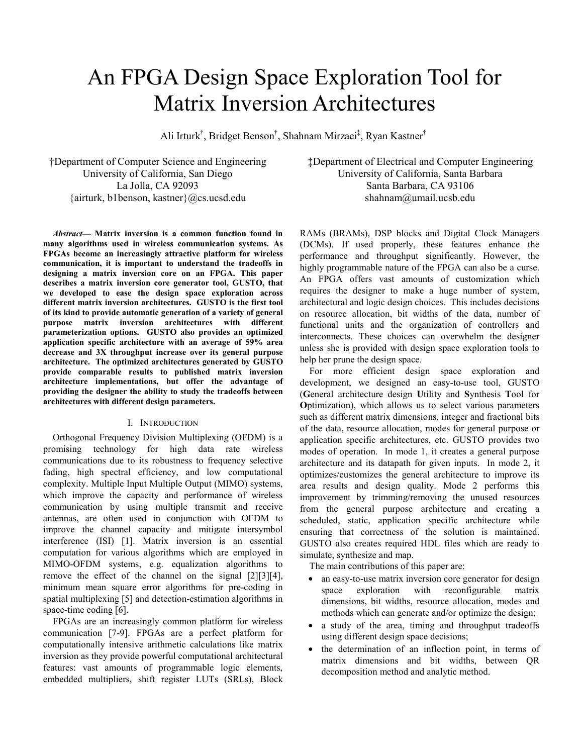# An FPGA Design Space Exploration Tool for Matrix Inversion Architectures

Ali Irturk<sup>†</sup>, Bridget Benson<sup>†</sup>, Shahnam Mirzaei<sup>‡</sup>, Ryan Kastner<sup>†</sup>

†Department of Computer Science and Engineering University of California, San Diego La Jolla, CA 92093 {airturk, b1benson, kastner}@cs.ucsd.edu

*Abstract***— Matrix inversion is a common function found in many algorithms used in wireless communication systems. As FPGAs become an increasingly attractive platform for wireless communication, it is important to understand the tradeoffs in designing a matrix inversion core on an FPGA. This paper describes a matrix inversion core generator tool, GUSTO, that we developed to ease the design space exploration across different matrix inversion architectures. GUSTO is the first tool of its kind to provide automatic generation of a variety of general purpose matrix inversion architectures with different parameterization options. GUSTO also provides an optimized application specific architecture with an average of 59% area decrease and 3X throughput increase over its general purpose architecture. The optimized architectures generated by GUSTO provide comparable results to published matrix inversion architecture implementations, but offer the advantage of providing the designer the ability to study the tradeoffs between architectures with different design parameters.** 

#### I. INTRODUCTION

Orthogonal Frequency Division Multiplexing (OFDM) is a promising technology for high data rate wireless communications due to its robustness to frequency selective fading, high spectral efficiency, and low computational complexity. Multiple Input Multiple Output (MIMO) systems, which improve the capacity and performance of wireless communication by using multiple transmit and receive antennas, are often used in conjunction with OFDM to improve the channel capacity and mitigate intersymbol interference (ISI) [1]. Matrix inversion is an essential computation for various algorithms which are employed in MIMO-OFDM systems, e.g. equalization algorithms to remove the effect of the channel on the signal [2][3][4], minimum mean square error algorithms for pre-coding in spatial multiplexing [5] and detection-estimation algorithms in space-time coding [6].

FPGAs are an increasingly common platform for wireless communication [7-9]. FPGAs are a perfect platform for computationally intensive arithmetic calculations like matrix inversion as they provide powerful computational architectural features: vast amounts of programmable logic elements, embedded multipliers, shift register LUTs (SRLs), Block ‡Department of Electrical and Computer Engineering University of California, Santa Barbara Santa Barbara, CA 93106 shahnam@umail.ucsb.edu

RAMs (BRAMs), DSP blocks and Digital Clock Managers (DCMs). If used properly, these features enhance the performance and throughput significantly. However, the highly programmable nature of the FPGA can also be a curse. An FPGA offers vast amounts of customization which requires the designer to make a huge number of system, architectural and logic design choices. This includes decisions on resource allocation, bit widths of the data, number of functional units and the organization of controllers and interconnects. These choices can overwhelm the designer unless she is provided with design space exploration tools to help her prune the design space.

For more efficient design space exploration and development, we designed an easy-to-use tool, GUSTO (**G**eneral architecture design **U**tility and **S**ynthesis **T**ool for **O**ptimization), which allows us to select various parameters such as different matrix dimensions, integer and fractional bits of the data, resource allocation, modes for general purpose or application specific architectures, etc. GUSTO provides two modes of operation. In mode 1, it creates a general purpose architecture and its datapath for given inputs. In mode 2, it optimizes/customizes the general architecture to improve its area results and design quality. Mode 2 performs this improvement by trimming/removing the unused resources from the general purpose architecture and creating a scheduled, static, application specific architecture while ensuring that correctness of the solution is maintained. GUSTO also creates required HDL files which are ready to simulate, synthesize and map.

The main contributions of this paper are:

an easy-to-use matrix inversion core generator for design space exploration with reconfigurable matrix dimensions, bit widths, resource allocation, modes and methods which can generate and/or optimize the design; a study of the area, timing and throughput tradeoffs using different design space decisions;

the determination of an inflection point, in terms of matrix dimensions and bit widths, between QR decomposition method and analytic method.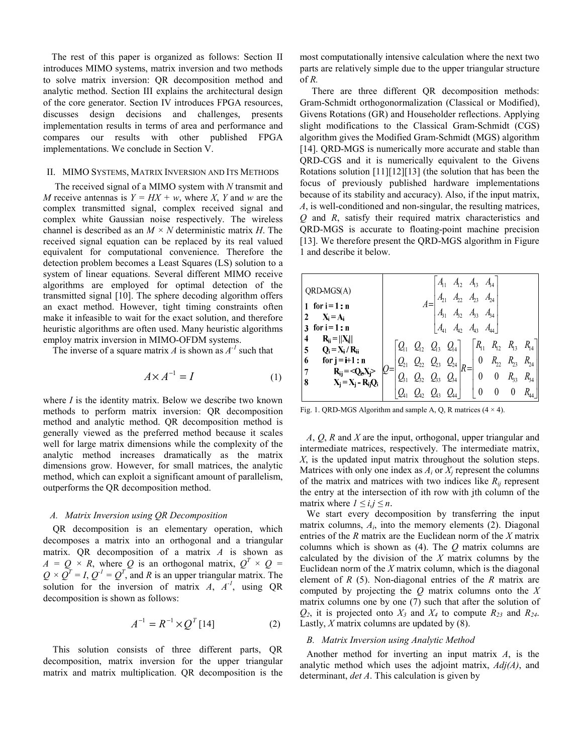The rest of this paper is organized as follows: Section II introduces MIMO systems, matrix inversion and two methods to solve matrix inversion: QR decomposition method and analytic method. Section III explains the architectural design of the core generator. Section IV introduces FPGA resources, discusses design decisions and challenges, presents implementation results in terms of area and performance and compares our results with other published FPGA implementations. We conclude in Section V.

#### II. MIMO SYSTEMS, MATRIX INVERSION AND ITS METHODS

The received signal of a MIMO system with *N* transmit and *M* receive antennas is  $Y = HX + w$ , where *X*, *Y* and *w* are the complex transmitted signal, complex received signal and complex white Gaussian noise respectively. The wireless channel is described as an  $M \times N$  deterministic matrix *H*. The received signal equation can be replaced by its real valued equivalent for computational convenience. Therefore the detection problem becomes a Least Squares (LS) solution to a system of linear equations. Several different MIMO receive algorithms are employed for optimal detection of the transmitted signal [10]. The sphere decoding algorithm offers an exact method. However, tight timing constraints often make it infeasible to wait for the exact solution, and therefore heuristic algorithms are often used. Many heuristic algorithms employ matrix inversion in MIMO-OFDM systems.

The inverse of a square matrix *A* is shown as  $A^{-1}$  such that

$$
A \times A^{-1} = I \tag{1}
$$

where *I* is the identity matrix. Below we describe two known methods to perform matrix inversion: QR decomposition method and analytic method. QR decomposition method is generally viewed as the preferred method because it scales well for large matrix dimensions while the complexity of the analytic method increases dramatically as the matrix dimensions grow. However, for small matrices, the analytic method, which can exploit a significant amount of parallelism, outperforms the QR decomposition method.

### *A. Matrix Inversion using QR Decomposition*

QR decomposition is an elementary operation, which decomposes a matrix into an orthogonal and a triangular matrix. QR decomposition of a matrix *A* is shown as  $A = Q \times R$ , where Q is an orthogonal matrix,  $Q^T \times Q =$  $Q \times Q^T = I$ ,  $Q^T = Q^T$ , and *R* is an upper triangular matrix. The solution for the inversion of matrix  $A, A^{-1}$ , using QR decomposition is shown as follows:

$$
A^{-1} = R^{-1} \times Q^{T} [14]
$$
 (2)

This solution consists of three different parts, QR decomposition, matrix inversion for the upper triangular matrix and matrix multiplication. QR decomposition is the most computationally intensive calculation where the next two parts are relatively simple due to the upper triangular structure of *R.*

 There are three different QR decomposition methods: Gram-Schmidt orthogonormalization (Classical or Modified), Givens Rotations (GR) and Householder reflections. Applying slight modifications to the Classical Gram-Schmidt (CGS) algorithm gives the Modified Gram-Schmidt (MGS) algorithm [14]. QRD-MGS is numerically more accurate and stable than QRD-CGS and it is numerically equivalent to the Givens Rotations solution [11][12][13] (the solution that has been the focus of previously published hardware implementations because of its stability and accuracy). Also, if the input matrix, *A*, is well-conditioned and non-singular, the resulting matrices, *Q* and *R*, satisfy their required matrix characteristics and QRD-MGS is accurate to floating-point machine precision [13]. We therefore present the QRD-MGS algorithm in Figure 1 and describe it below.

| QRD-MGS(A)<br>1 for $i=1:n$<br>$X_i = A_i$<br>for $i=1:n$<br>3                                                                                                        | $A_{12}$ $A_{13}$ $A_{14}$<br>$A_{11}$<br>$A_{21}$ $A_{22}$ $A_{23}$ $A_{24}$<br>$A=$<br>$A_{31}$ $A_{32}$ $A_{33}$ $A_{34}$<br>$A_{41}$ $A_{42}$ $A_{43}$ $A_{44}$                                                                                                                                                           |
|-----------------------------------------------------------------------------------------------------------------------------------------------------------------------|-------------------------------------------------------------------------------------------------------------------------------------------------------------------------------------------------------------------------------------------------------------------------------------------------------------------------------|
| $R_{ii} =   X_i  $<br>4<br>5<br>$Q_i = X_i / R_{ii}$<br>6<br>for $j = i+1:n$<br>$R_{ij} = \langle Q_i, X_j \rangle$<br>$\overline{7}$<br>8<br>$X_j = X_j - R_{ij}Q_i$ | $\begin{bmatrix} R_{11} & R_{12} & R_{13} & R_{14} \end{bmatrix}$<br>$Q_1$ $Q_2$ $Q_3$ $Q_4$<br>$\overline{0}$<br>$R_{22}$ $R_{23}$<br>$R_{24}$<br>$Q_1$ $Q_2$ $Q_3$ $Q_4$ $R=$<br>$Q=$<br>$\boldsymbol{0}$<br>$R_{33}$<br>0<br>$R_{34}$<br>$Q_{31}$ $Q_{32}$ $Q_{33}$ $Q_{34}$<br>0<br>$\mathcal{Q}_4$<br>$\mathcal{Q}_{42}$ |

Fig. 1. QRD-MGS Algorithm and sample A, Q, R matrices  $(4 \times 4)$ .

*A*, *Q*, *R* and *X* are the input, orthogonal, upper triangular and intermediate matrices, respectively. The intermediate matrix, *X*, is the updated input matrix throughout the solution steps. Matrices with only one index as  $A_i$  or  $X_i$  represent the columns of the matrix and matrices with two indices like  $R_{ij}$  represent the entry at the intersection of ith row with jth column of the matrix where  $1 \le i, j \le n$ .

We start every decomposition by transferring the input matrix columns,  $A_i$ , into the memory elements  $(2)$ . Diagonal entries of the *R* matrix are the Euclidean norm of the *X* matrix columns which is shown as (4). The *Q* matrix columns are calculated by the division of the *X* matrix columns by the Euclidean norm of the *X* matrix column, which is the diagonal element of *R* (5). Non-diagonal entries of the *R* matrix are computed by projecting the *Q* matrix columns onto the *X* matrix columns one by one (7) such that after the solution of  $Q_2$ , it is projected onto  $X_3$  and  $X_4$  to compute  $R_{23}$  and  $R_{24}$ . Lastly, *X* matrix columns are updated by (8).

#### *B. Matrix Inversion using Analytic Method*

Another method for inverting an input matrix *A*, is the analytic method which uses the adjoint matrix, *Adj(A)*, and determinant, *det A*. This calculation is given by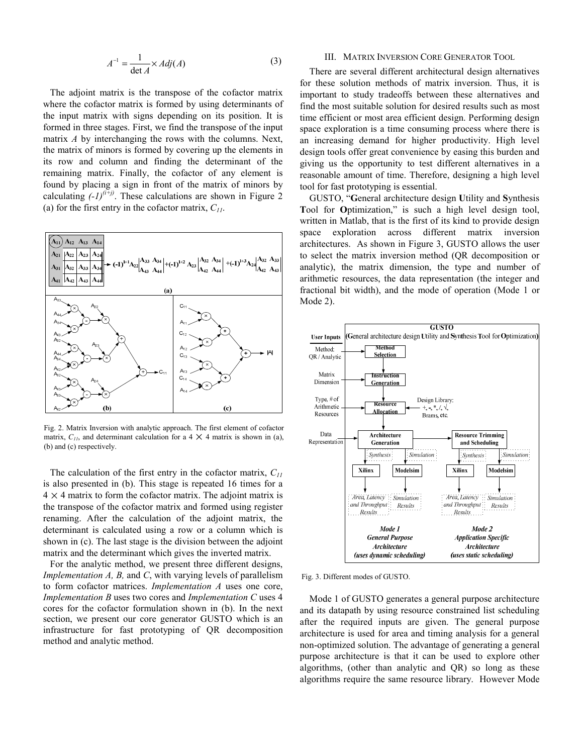$$
A^{-1} = \frac{1}{\det A} \times Adj(A)
$$
 (3)

The adjoint matrix is the transpose of the cofactor matrix where the cofactor matrix is formed by using determinants of the input matrix with signs depending on its position. It is formed in three stages. First, we find the transpose of the input matrix *A* by interchanging the rows with the columns. Next, the matrix of minors is formed by covering up the elements in its row and column and finding the determinant of the remaining matrix. Finally, the cofactor of any element is found by placing a sign in front of the matrix of minors by calculating  $(-1)^{(i+j)}$ . These calculations are shown in Figure 2 (a) for the first entry in the cofactor matrix,  $C_{II}$ .



Fig. 2. Matrix Inversion with analytic approach. The first element of cofactor matrix,  $C_{11}$ , and determinant calculation for a 4  $\times$  4 matrix is shown in (a), (b) and (c) respectively.

The calculation of the first entry in the cofactor matrix, *C11* is also presented in (b). This stage is repeated 16 times for a  $4 \times 4$  matrix to form the cofactor matrix. The adjoint matrix is the transpose of the cofactor matrix and formed using register renaming. After the calculation of the adjoint matrix, the determinant is calculated using a row or a column which is shown in (c). The last stage is the division between the adjoint matrix and the determinant which gives the inverted matrix.

For the analytic method, we present three different designs, *Implementation A, B,* and *C*, with varying levels of parallelism to form cofactor matrices. *Implementation A* uses one core, *Implementation B* uses two cores and *Implementation C* uses 4 cores for the cofactor formulation shown in (b). In the next section, we present our core generator GUSTO which is an infrastructure for fast prototyping of QR decomposition method and analytic method.

#### III. MATRIX INVERSION CORE GENERATOR TOOL

There are several different architectural design alternatives for these solution methods of matrix inversion. Thus, it is important to study tradeoffs between these alternatives and find the most suitable solution for desired results such as most time efficient or most area efficient design. Performing design space exploration is a time consuming process where there is an increasing demand for higher productivity. High level design tools offer great convenience by easing this burden and giving us the opportunity to test different alternatives in a reasonable amount of time. Therefore, designing a high level tool for fast prototyping is essential.

GUSTO, "**G**eneral architecture design **U**tility and **S**ynthesis **T**ool for **O**ptimization," is such a high level design tool, written in Matlab, that is the first of its kind to provide design space exploration across different matrix inversion architectures. As shown in Figure 3, GUSTO allows the user to select the matrix inversion method (QR decomposition or analytic), the matrix dimension, the type and number of arithmetic resources, the data representation (the integer and fractional bit width), and the mode of operation (Mode 1 or Mode 2).



Fig. 3. Different modes of GUSTO.

Mode 1 of GUSTO generates a general purpose architecture and its datapath by using resource constrained list scheduling after the required inputs are given. The general purpose architecture is used for area and timing analysis for a general non-optimized solution. The advantage of generating a general purpose architecture is that it can be used to explore other algorithms, (other than analytic and QR) so long as these algorithms require the same resource library. However Mode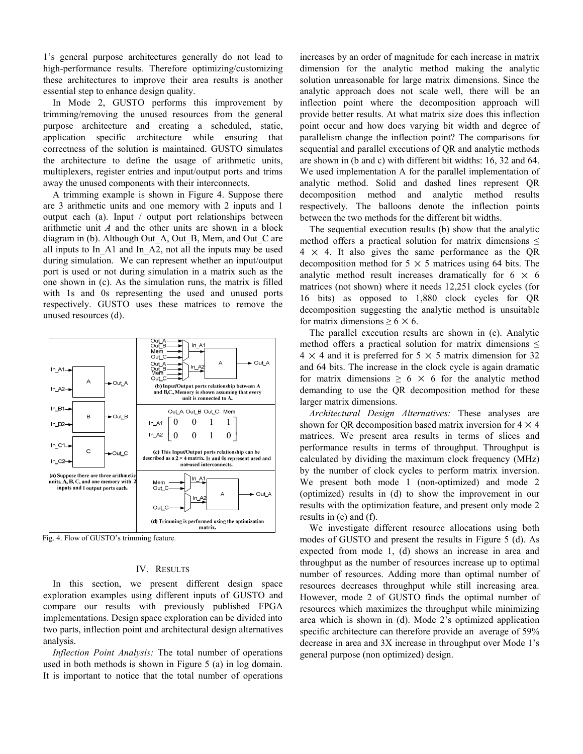1's general purpose architectures generally do not lead to high-performance results. Therefore optimizing/customizing these architectures to improve their area results is another essential step to enhance design quality.

In Mode 2, GUSTO performs this improvement by trimming/removing the unused resources from the general purpose architecture and creating a scheduled, static, application specific architecture while ensuring that correctness of the solution is maintained. GUSTO simulates the architecture to define the usage of arithmetic units, multiplexers, register entries and input/output ports and trims away the unused components with their interconnects.

A trimming example is shown in Figure 4. Suppose there are 3 arithmetic units and one memory with 2 inputs and 1 output each (a). Input / output port relationships between arithmetic unit *A* and the other units are shown in a block diagram in (b). Although Out\_A, Out\_B, Mem, and Out\_C are all inputs to In A1 and In A2, not all the inputs may be used during simulation. We can represent whether an input/output port is used or not during simulation in a matrix such as the one shown in (c). As the simulation runs, the matrix is filled with 1s and 0s representing the used and unused ports respectively. GUSTO uses these matrices to remove the unused resources (d).



Fig. 4. Flow of GUSTO's trimming feature.

## IV. RESULTS

In this section, we present different design space exploration examples using different inputs of GUSTO and compare our results with previously published FPGA implementations. Design space exploration can be divided into two parts, inflection point and architectural design alternatives analysis.

*Inflection Point Analysis:* The total number of operations used in both methods is shown in Figure 5 (a) in log domain. It is important to notice that the total number of operations increases by an order of magnitude for each increase in matrix dimension for the analytic method making the analytic solution unreasonable for large matrix dimensions. Since the analytic approach does not scale well, there will be an inflection point where the decomposition approach will provide better results. At what matrix size does this inflection point occur and how does varying bit width and degree of parallelism change the inflection point? The comparisons for sequential and parallel executions of QR and analytic methods are shown in (b and c) with different bit widths: 16, 32 and 64. We used implementation A for the parallel implementation of analytic method. Solid and dashed lines represent QR decomposition method and analytic method results respectively. The balloons denote the inflection points between the two methods for the different bit widths.

The sequential execution results (b) show that the analytic method offers a practical solution for matrix dimensions  $\leq$  $4 \times 4$ . It also gives the same performance as the QR decomposition method for  $5 \times 5$  matrices using 64 bits. The analytic method result increases dramatically for  $6 \times 6$ matrices (not shown) where it needs 12,251 clock cycles (for 16 bits) as opposed to 1,880 clock cycles for QR decomposition suggesting the analytic method is unsuitable for matrix dimensions  $\geq 6 \times 6$ .

The parallel execution results are shown in (c). Analytic method offers a practical solution for matrix dimensions  $\leq$  $4 \times 4$  and it is preferred for  $5 \times 5$  matrix dimension for 32 and 64 bits. The increase in the clock cycle is again dramatic for matrix dimensions  $\geq 6 \times 6$  for the analytic method demanding to use the QR decomposition method for these larger matrix dimensions.

*Architectural Design Alternatives:* These analyses are shown for QR decomposition based matrix inversion for  $4 \times 4$ matrices. We present area results in terms of slices and performance results in terms of throughput. Throughput is calculated by dividing the maximum clock frequency (MHz) by the number of clock cycles to perform matrix inversion. We present both mode 1 (non-optimized) and mode 2 (optimized) results in (d) to show the improvement in our results with the optimization feature, and present only mode 2 results in (e) and (f).

We investigate different resource allocations using both modes of GUSTO and present the results in Figure 5 (d). As expected from mode 1, (d) shows an increase in area and throughput as the number of resources increase up to optimal number of resources. Adding more than optimal number of resources decreases throughput while still increasing area. However, mode 2 of GUSTO finds the optimal number of resources which maximizes the throughput while minimizing area which is shown in (d). Mode 2's optimized application specific architecture can therefore provide an average of 59% decrease in area and 3X increase in throughput over Mode 1's general purpose (non optimized) design.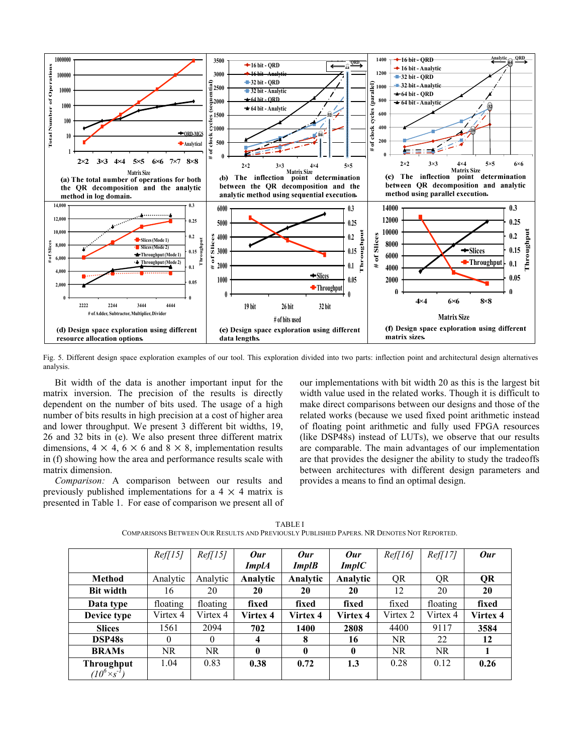

Fig. 5. Different design space exploration examples of our tool. This exploration divided into two parts: inflection point and architectural design alternatives analysis.

Bit width of the data is another important input for the matrix inversion. The precision of the results is directly dependent on the number of bits used. The usage of a high number of bits results in high precision at a cost of higher area and lower throughput. We present 3 different bit widths, 19, 26 and 32 bits in (e). We also present three different matrix dimensions,  $4 \times 4$ ,  $6 \times 6$  and  $8 \times 8$ , implementation results in (f) showing how the area and performance results scale with matrix dimension.

*Comparison:* A comparison between our results and previously published implementations for a  $4 \times 4$  matrix is presented in Table 1. For ease of comparison we present all of our implementations with bit width 20 as this is the largest bit width value used in the related works. Though it is difficult to make direct comparisons between our designs and those of the related works (because we used fixed point arithmetic instead of floating point arithmetic and fully used FPGA resources (like DSP48s) instead of LUTs), we observe that our results are comparable. The main advantages of our implementation are that provides the designer the ability to study the tradeoffs between architectures with different design parameters and provides a means to find an optimal design.

|                         | Ref[15]  | Ref[15]   | Our                     | Our             | Our             | Ref[16]   | Ref[17]   | Our      |
|-------------------------|----------|-----------|-------------------------|-----------------|-----------------|-----------|-----------|----------|
|                         |          |           | ImplA                   | ImplB           | ImplC           |           |           |          |
| <b>Method</b>           | Analytic | Analytic  | Analytic                | Analytic        | Analytic        | QR        | <b>QR</b> | QR       |
| <b>Bit width</b>        | 16       | 20        | 20                      | 20              | 20              | 12        | 20        | 20       |
| Data type               | floating | floating  | fixed                   | fixed           | fixed           | fixed     | floating  | fixed    |
| Device type             | Virtex 4 | Virtex 4  | Virtex 4                | <b>Virtex 4</b> | <b>Virtex 4</b> | Virtex 2  | Virtex 4  | Virtex 4 |
| <b>Slices</b>           | 1561     | 2094      | 702                     | 1400            | 2808            | 4400      | 9117      | 3584     |
| DSP48s                  | $\Omega$ | $\Omega$  | $\overline{\mathbf{4}}$ | 8               | 16              | <b>NR</b> | 22        | 12       |
| <b>BRAMs</b>            | NR       | <b>NR</b> | $\mathbf{0}$            | $\mathbf{0}$    | $\mathbf{0}$    | NR        | NR.       |          |
| Throughput              | 1.04     | 0.83      | 0.38                    | 0.72            | 1.3             | 0.28      | 0.12      | 0.26     |
| $(10^{6}\times s^{-1})$ |          |           |                         |                 |                 |           |           |          |

TABLE I COMPARISONS BETWEEN OUR RESULTS AND PREVIOUSLY PUBLISHED PAPERS. NR DENOTES NOT REPORTED.